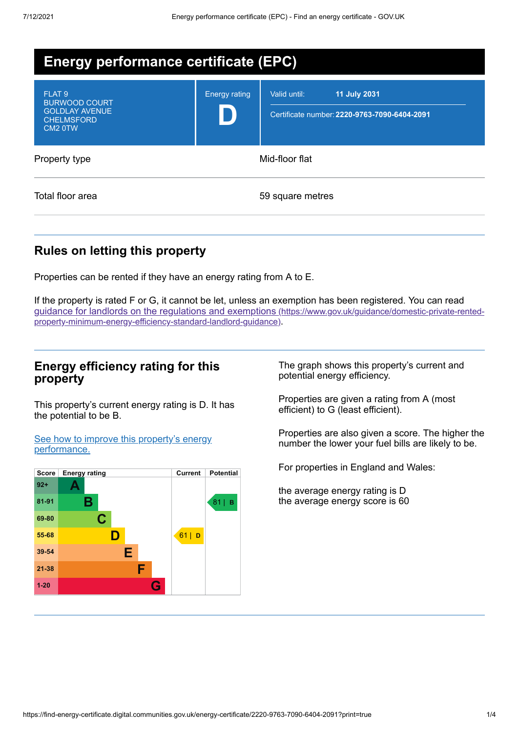| Energy performance certificate (EPC)                                                                           |                      |                                                                                     |  |  |  |
|----------------------------------------------------------------------------------------------------------------|----------------------|-------------------------------------------------------------------------------------|--|--|--|
| FLAT <sub>9</sub><br><b>BURWOOD COURT</b><br><b>GOLDLAY AVENUE</b><br><b>CHELMSFORD</b><br>CM <sub>2</sub> 0TW | <b>Energy rating</b> | <b>11 July 2031</b><br>Valid until:<br>Certificate number: 2220-9763-7090-6404-2091 |  |  |  |
| Property type                                                                                                  | Mid-floor flat       |                                                                                     |  |  |  |
| Total floor area                                                                                               |                      | 59 square metres                                                                    |  |  |  |

# **Rules on letting this property**

Properties can be rented if they have an energy rating from A to E.

If the property is rated F or G, it cannot be let, unless an exemption has been registered. You can read guidance for landlords on the regulations and exemptions (https://www.gov.uk/guidance/domestic-private-rented[property-minimum-energy-efficiency-standard-landlord-guidance\)](https://www.gov.uk/guidance/domestic-private-rented-property-minimum-energy-efficiency-standard-landlord-guidance).

# **Energy efficiency rating for this property**

This property's current energy rating is D. It has the potential to be B.

See how to improve this property's energy [performance.](#page-2-0)



The graph shows this property's current and potential energy efficiency.

Properties are given a rating from A (most efficient) to G (least efficient).

Properties are also given a score. The higher the number the lower your fuel bills are likely to be.

For properties in England and Wales:

the average energy rating is D the average energy score is 60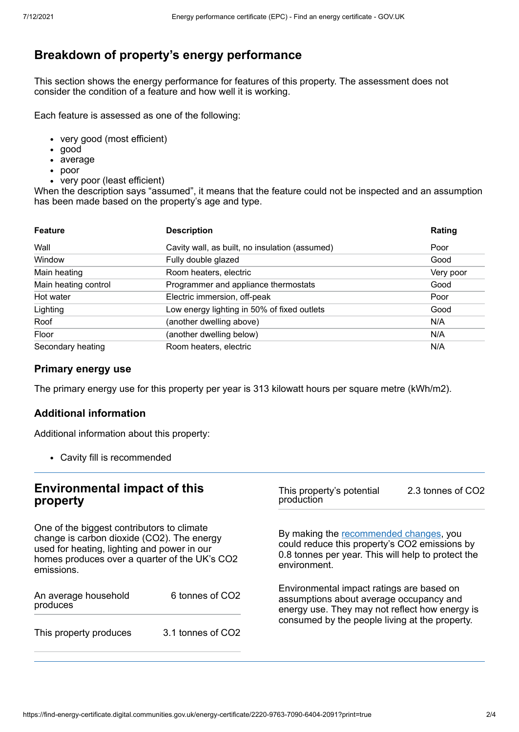# **Breakdown of property's energy performance**

This section shows the energy performance for features of this property. The assessment does not consider the condition of a feature and how well it is working.

Each feature is assessed as one of the following:

- very good (most efficient)
- good
- average
- poor
- very poor (least efficient)

When the description says "assumed", it means that the feature could not be inspected and an assumption has been made based on the property's age and type.

| <b>Feature</b>       | <b>Description</b>                             | Rating    |
|----------------------|------------------------------------------------|-----------|
| Wall                 | Cavity wall, as built, no insulation (assumed) | Poor      |
| Window               | Fully double glazed                            | Good      |
| Main heating         | Room heaters, electric                         | Very poor |
| Main heating control | Programmer and appliance thermostats           | Good      |
| Hot water            | Electric immersion, off-peak                   | Poor      |
| Lighting             | Low energy lighting in 50% of fixed outlets    | Good      |
| Roof                 | (another dwelling above)                       | N/A       |
| Floor                | (another dwelling below)                       | N/A       |
| Secondary heating    | Room heaters, electric                         | N/A       |

## **Primary energy use**

The primary energy use for this property per year is 313 kilowatt hours per square metre (kWh/m2).

### **Additional information**

Additional information about this property:

Cavity fill is recommended

#### **Environmental impact of this property** One of the biggest contributors to climate change is carbon dioxide (CO2). The energy used for heating, lighting and power in our homes produces over a quarter of the UK's CO2 emissions. An average household produces 6 tonnes of CO2 This property produces 3.1 tonnes of CO2 This property's potential production 2.3 tonnes of CO2 By making the [recommended](#page-2-0) changes, you could reduce this property's CO2 emissions by 0.8 tonnes per year. This will help to protect the environment. Environmental impact ratings are based on assumptions about average occupancy and energy use. They may not reflect how energy is consumed by the people living at the property.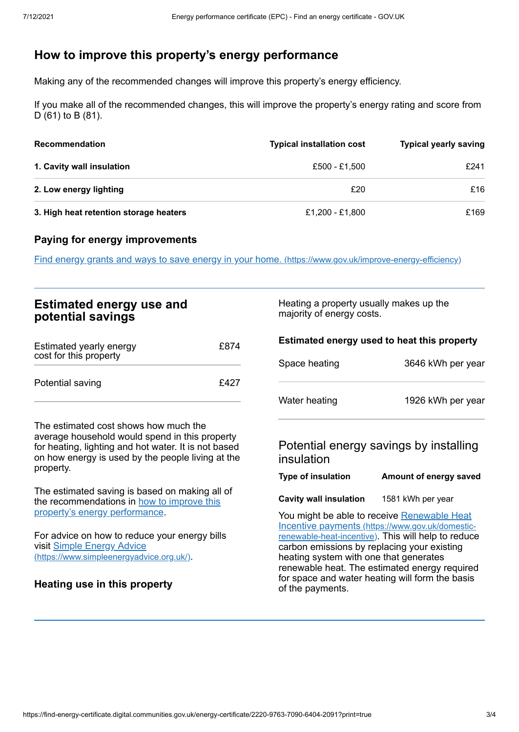# <span id="page-2-0"></span>**How to improve this property's energy performance**

Making any of the recommended changes will improve this property's energy efficiency.

If you make all of the recommended changes, this will improve the property's energy rating and score from D (61) to B (81).

| Recommendation                         | <b>Typical installation cost</b> | <b>Typical yearly saving</b> |
|----------------------------------------|----------------------------------|------------------------------|
| 1. Cavity wall insulation              | £500 - £1,500                    | £241                         |
| 2. Low energy lighting                 | £20                              | £16                          |
| 3. High heat retention storage heaters | £1,200 - £1,800                  | £169                         |

## **Paying for energy improvements**

Find energy grants and ways to save energy in your home. [\(https://www.gov.uk/improve-energy-efficiency\)](https://www.gov.uk/improve-energy-efficiency)

| <b>Estimated energy use and</b><br>potential savings                                                                                                                                                              |      | Heating a property usually makes up the<br>majority of energy costs.                  |                                                                                                                                                        |
|-------------------------------------------------------------------------------------------------------------------------------------------------------------------------------------------------------------------|------|---------------------------------------------------------------------------------------|--------------------------------------------------------------------------------------------------------------------------------------------------------|
| Estimated yearly energy<br>cost for this property                                                                                                                                                                 | £874 | Estimated energy used to heat this property<br>Space heating<br>3646 kWh per year     |                                                                                                                                                        |
| Potential saving                                                                                                                                                                                                  | £427 |                                                                                       |                                                                                                                                                        |
|                                                                                                                                                                                                                   |      | Water heating                                                                         | 1926 kWh per year                                                                                                                                      |
| The estimated cost shows how much the<br>average household would spend in this property<br>for heating, lighting and hot water. It is not based<br>on how energy is used by the people living at the<br>property. |      | Potential energy savings by installing<br>insulation                                  |                                                                                                                                                        |
|                                                                                                                                                                                                                   |      | <b>Type of insulation</b>                                                             | Amount of energy saved                                                                                                                                 |
| The estimated saving is based on making all of<br>the recommendations in how to improve this                                                                                                                      |      | <b>Cavity wall insulation</b>                                                         | 1581 kWh per year                                                                                                                                      |
| property's energy performance.<br>For advice on how to reduce your energy bills                                                                                                                                   |      |                                                                                       | You might be able to receive Renewable Heat<br>Incentive payments (https://www.gov.uk/domestic-<br>renewable-heat-incentive). This will help to reduce |
| visit Simple Energy Advice<br>(https://www.simpleenergyadvice.org.uk/).                                                                                                                                           |      | carbon emissions by replacing your existing<br>heating system with one that generates | renewable heat. The estimated energy required                                                                                                          |
| Heating use in this property                                                                                                                                                                                      |      | for space and water heating will form the basis<br>of the payments.                   |                                                                                                                                                        |